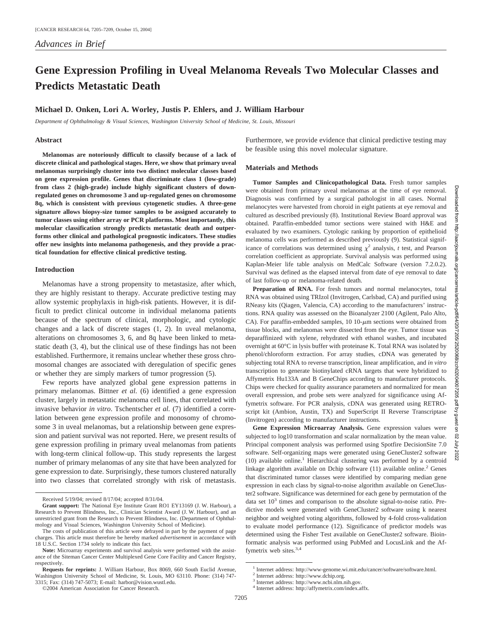# **Gene Expression Profiling in Uveal Melanoma Reveals Two Molecular Classes and Predicts Metastatic Death**

## **Michael D. Onken, Lori A. Worley, Justis P. Ehlers, and J. William Harbour**

*Department of Ophthalmology & Visual Sciences, Washington University School of Medicine, St. Louis, Missouri*

#### **Abstract**

**Melanomas are notoriously difficult to classify because of a lack of discrete clinical and pathological stages. Here, we show that primary uveal melanomas surprisingly cluster into two distinct molecular classes based on gene expression profile. Genes that discriminate class 1 (low-grade) from class 2 (high-grade) include highly significant clusters of downregulated genes on chromosome 3 and up-regulated genes on chromosome 8q, which is consistent with previous cytogenetic studies. A three-gene signature allows biopsy-size tumor samples to be assigned accurately to tumor classes using either array or PCR platforms. Most importantly, this molecular classification strongly predicts metastatic death and outperforms other clinical and pathological prognostic indicators. These studies offer new insights into melanoma pathogenesis, and they provide a practical foundation for effective clinical predictive testing.**

### **Introduction**

Melanomas have a strong propensity to metastasize, after which, they are highly resistant to therapy. Accurate predictive testing may allow systemic prophylaxis in high-risk patients. However, it is difficult to predict clinical outcome in individual melanoma patients because of the spectrum of clinical, morphologic, and cytologic changes and a lack of discrete stages (1, 2). In uveal melanoma, alterations on chromosomes 3, 6, and 8q have been linked to metastatic death (3, 4), but the clinical use of these findings has not been established. Furthermore, it remains unclear whether these gross chromosomal changes are associated with deregulation of specific genes or whether they are simply markers of tumor progression (5).

Few reports have analyzed global gene expression patterns in primary melanomas. Bittner *et al.* (6) identified a gene expression cluster, largely in metastatic melanoma cell lines, that correlated with invasive behavior *in vitro*. Tschentscher *et al.* (7) identified a correlation between gene expression profile and monosomy of chromosome 3 in uveal melanomas, but a relationship between gene expression and patient survival was not reported. Here, we present results of gene expression profiling in primary uveal melanomas from patients with long-term clinical follow-up. This study represents the largest number of primary melanomas of any site that have been analyzed for gene expression to date. Surprisingly, these tumors clustered naturally into two classes that correlated strongly with risk of metastasis. Furthermore, we provide evidence that clinical predictive testing may be feasible using this novel molecular signature.

## **Materials and Methods**

**Tumor Samples and Clinicopathological Data.** Fresh tumor samples were obtained from primary uveal melanomas at the time of eye removal. Diagnosis was confirmed by a surgical pathologist in all cases. Normal melanocytes were harvested from choroid in eight patients at eye removal and cultured as described previously (8). Institutional Review Board approval was obtained. Paraffin-embedded tumor sections were stained with H&E and evaluated by two examiners. Cytologic ranking by proportion of epithelioid melanoma cells was performed as described previously (9). Statistical significance of correlations was determined using  $\chi^2$  analysis, *t* test, and Pearson correlation coefficient as appropriate. Survival analysis was performed using Kaplan-Meier life table analysis on MedCalc Software (version 7.2.0.2). Survival was defined as the elapsed interval from date of eye removal to date of last follow-up or melanoma-related death.

Preparation of RNA. For fresh tumors and normal melanocytes, total RNA was obtained using TRIzol (Invitrogen, Carlsbad, CA) and purified using RNeasy kits (Qiagen, Valencia, CA) according to the manufacturers' instructions. RNA quality was assessed on the Bioanalyzer 2100 (Agilent, Palo Alto, CA). For paraffin-embedded samples,  $10 \frac{10}{\mu m}$  sections were obtained from tissue blocks, and melanomas were dissected from the eye. Tumor tissue was deparaffinized with xylene, rehydrated with ethanol washes, and incubated overnight at 60°C in lysis buffer with proteinase K. Total RNA was isolated by phenol/chloroform extraction. For array studies, cDNA was generated by subjecting total RNA to reverse transcription, linear amplification, and *in vitro* transcription to generate biotinylated cRNA targets that were hybridized to Affymetrix Hu133A and B GeneChips according to manufacturer protocols. Chips were checked for quality assurance parameters and normalized for mean overall expression, and probe sets were analyzed for significance using Affymetrix software. For PCR analysis, cDNA was generated using RETROscript kit (Ambion, Austin, TX) and SuperScript II Reverse Transcriptase (Invitrogen) according to manufacturer instructions.

**Gene Expression Microarray Analysis.** Gene expression values were subjected to log10 transformation and scalar normalization by the mean value. Principal component analysis was performed using Spotfire DecisionSite 7.0 software. Self-organizing maps were generated using GeneCluster2 software (10) available online.1 Hierarchical clustering was performed by a centroid linkage algorithm available on Dchip software  $(11)$  available online.<sup>2</sup> Genes that discriminated tumor classes were identified by comparing median gene expression in each class by signal-to-noise algorithm available on GeneCluster2 software. Significance was determined for each gene by permutation of the data set  $10<sup>3</sup>$  times and comparison to the absolute signal-to-noise ratio. Predictive models were generated with GeneCluster2 software using k nearest neighbor and weighted voting algorithms, followed by 4-fold cross-validation to evaluate model performance (12). Significance of predictor models was determined using the Fisher Test available on GeneCluster2 software. Bioinformatic analysis was performed using PubMed and LocusLink and the Affymetrix web sites.<sup>3,4</sup>

Received 5/19/04; revised 8/17/04; accepted 8/31/04.

**Grant support:** The National Eye Institute Grant RO1 EY13169 (J. W. Harbour), a Research to Prevent Blindness, Inc., Clinician Scientist Award (J. W. Harbour), and an unrestricted grant from the Research to Prevent Blindness, Inc. (Department of Ophthalmology and Visual Sciences, Washington University School of Medicine).

The costs of publication of this article were defrayed in part by the payment of page charges. This article must therefore be hereby marked *advertisement* in accordance with 18 U.S.C. Section 1734 solely to indicate this fact.

**Note:** Microarray experiments and survival analysis were performed with the assistance of the Siteman Cancer Center Multiplexed Gene Core Facility and Cancer Registry, respectively.

**Requests for reprints:** J. William Harbour, Box 8069, 660 South Euclid Avenue, Washington University School of Medicine, St. Louis, MO 63110. Phone: (314) 747- 3315; Fax: (314) 747-5073; E-mail: harbor@vision.wustl.edu.

<sup>©2004</sup> American Association for Cancer Research.

<sup>&</sup>lt;sup>1</sup> Internet address: http://www-genome.wi.mit.edu/cancer/software/software.html.

<sup>2</sup> Internet address: http://www.dchip.org.

<sup>3</sup> Internet address: http://www.ncbi.nlm.nih.gov.

<sup>4</sup> Internet address: http://affymetrix.com/index.affx.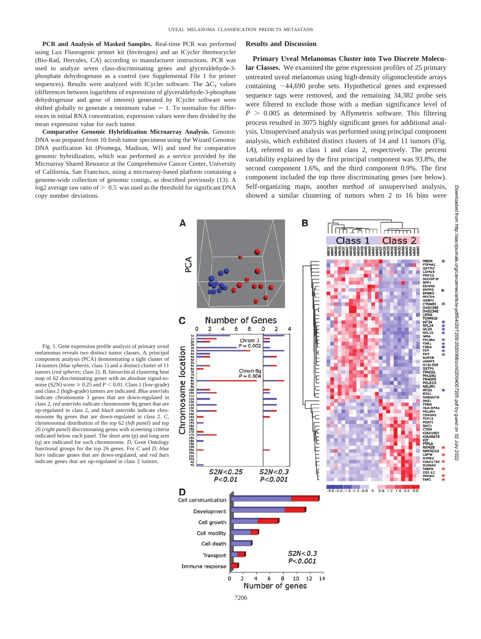**PCR and Analysis of Masked Samples.** Real-time PCR was performed using Lux Fluorogenic primer kit (Invitrogen) and an ICycler thermocycler (Bio-Rad, Hercules, CA) according to manufacturer instructions. PCR was used to analyze seven class-discriminating genes and glyceraldehyde-3 phosphate dehydrogenase as a control (see Supplemental File 1 for primer sequences). Results were analyzed with ICycler software. The  $\Delta C_T$  values (differences between logarithms of expressions of glyceraldehyde-3-phosphate dehydrogenase and gene of interest) generated by ICycler software were shifted globally to generate a minimum value  $= 1$ . To normalize for differences in initial RNA concentration, expression values were then divided by the mean expression value for each tumor.

**Comparative Genomic Hybridization Microarray Analysis.** Genomic DNA was prepared from 10 fresh tumor specimens using the Wizard Genomic DNA purification kit (Promega, Madison, WI) and used for comparative genomic hybridization, which was performed as a service provided by the Microarray Shared Resource at the Comprehensive Cancer Center, University of California, San Francisco, using a microarray-based platform containing a genome-wide collection of genomic contigs, as described previously (13). A  $log2$  average raw ratio of  $> 0.5$  was used as the threshold for significant DNA copy number deviations.

## **Results and Discussion**

**Primary Uveal Melanomas Cluster into Two Discrete Molecular Classes.** We examined the gene expression profiles of 25 primary untreated uveal melanomas using high-density oligonucleotide arrays containing  $\sim$ 44,690 probe sets. Hypothetical genes and expressed sequence tags were removed, and the remaining 34,382 probe sets were filtered to exclude those with a median significance level of  $P > 0.005$  as determined by Affymetrix software. This filtering process resulted in 3075 highly significant genes for additional analysis. Unsupervised analysis was performed using principal component analysis, which exhibited distinct clusters of 14 and 11 tumors (Fig. 1*A*), referred to as class 1 and class 2, respectively. The percent variability explained by the first principal component was 93.8%, the second component 1.6%, and the third component 0.9%. The first component included the top three discriminating genes (see below). Self-organizing maps, another method of unsupervised analysis, showed a similar clustering of tumors when 2 to 16 bins were

Fig. 1. Gene expression profile analysis of primary uveal melanomas reveals two distinct tumor classes. *A*, principal component analysis (PCA) demonstrating a tight cluster of 14 tumors (*blue spheres*; class 1) and a distinct cluster of 11 tumors (*red spheres*; class 2). *B*, hierarchical clustering heat map of 62 discriminating genes with an absolute signal-tonoise (S2N) score  $\geq 0.25$  and  $P \leq 0.01$ . Class 1 (low-grade) and class 2 (high-grade) tumors are indicated. *Blue asterisks* indicate chromosome 3 genes that are down-regulated in class 2, *red asterisks* indicate chromosome 8q genes that are up-regulated in class 2, and *black asterisks* indicate chromosome 8q genes that are down-regulated in class 2. *C*, chromosomal distribution of the top 62 (*left panel*) and top 26 (*right panel*) discriminating genes with screening criteria indicated below each panel. The short arm (p) and long arm (q) are indicated for each chromosome. *D*, Gene Ontology functional groups for the top 26 genes. For *C* and *D*, *blue bars* indicate genes that are down-regulated, and *red bars* indicate genes that are up-regulated in class 2 tumors.

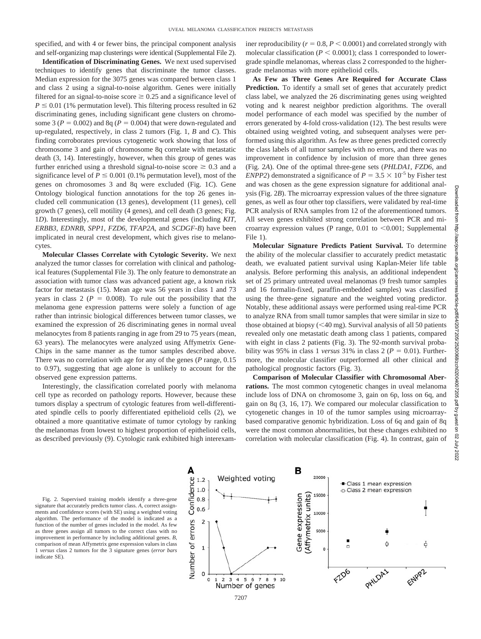specified, and with 4 or fewer bins, the principal component analysis and self-organizing map clusterings were identical (Supplemental File 2).

**Identification of Discriminating Genes.** We next used supervised techniques to identify genes that discriminate the tumor classes. Median expression for the 3075 genes was compared between class 1 and class 2 using a signal-to-noise algorithm. Genes were initially filtered for an signal-to-noise score  $\geq 0.25$  and a significance level of  $P \leq 0.01$  (1% permutation level). This filtering process resulted in 62 discriminating genes, including significant gene clusters on chromosome 3 ( $P = 0.002$ ) and 8q ( $P = 0.004$ ) that were down-regulated and up-regulated, respectively, in class 2 tumors (Fig. 1, *B* and *C*). This finding corroborates previous cytogenetic work showing that loss of chromosome 3 and gain of chromosome 8q correlate with metastatic death (3, 14). Interestingly, however, when this group of genes was further enriched using a threshold signal-to-noise score  $\geq 0.3$  and a significance level of  $P \le 0.001$  (0.1% permutation level), most of the genes on chromosomes 3 and 8q were excluded (Fig. 1*C*). Gene Ontology biological function annotations for the top 26 genes included cell communication (13 genes), development (11 genes), cell growth (7 genes), cell motility (4 genes), and cell death (3 genes; Fig. 1*D*). Interestingly, most of the developmental genes (including *KIT*, *ERBB3*, *EDNRB*, *SPP1*, *FZD6*, *TFAP2A*, and *SCDGF-B*) have been implicated in neural crest development, which gives rise to melanocytes.

**Molecular Classes Correlate with Cytologic Severity.** We next analyzed the tumor classes for correlation with clinical and pathological features (Supplemental File 3). The only feature to demonstrate an association with tumor class was advanced patient age, a known risk factor for metastasis (15). Mean age was 56 years in class 1 and 73 years in class 2 ( $P = 0.008$ ). To rule out the possibility that the melanoma gene expression patterns were solely a function of age rather than intrinsic biological differences between tumor classes, we examined the expression of 26 discriminating genes in normal uveal melanocytes from 8 patients ranging in age from 29 to 75 years (mean, 63 years). The melanocytes were analyzed using Affymetrix Gene-Chips in the same manner as the tumor samples described above. There was no correlation with age for any of the genes (*P* range, 0.15 to 0.97), suggesting that age alone is unlikely to account for the observed gene expression patterns.

Interestingly, the classification correlated poorly with melanoma cell type as recorded on pathology reports. However, because these tumors display a spectrum of cytologic features from well-differentiated spindle cells to poorly differentiated epithelioid cells (2), we obtained a more quantitative estimate of tumor cytology by ranking the melanomas from lowest to highest proportion of epithelioid cells, as described previously (9). Cytologic rank exhibited high interexam-

iner reproducibility  $(r = 0.8, P \le 0.0001)$  and correlated strongly with molecular classification ( $P < 0.0001$ ); class 1 corresponded to lowergrade spindle melanomas, whereas class 2 corresponded to the highergrade melanomas with more epithelioid cells.

**As Few as Three Genes Are Required for Accurate Class Prediction.** To identify a small set of genes that accurately predict class label, we analyzed the 26 discriminating genes using weighted voting and k nearest neighbor prediction algorithms. The overall model performance of each model was specified by the number of errors generated by 4-fold cross-validation (12). The best results were obtained using weighted voting, and subsequent analyses were performed using this algorithm. As few as three genes predicted correctly the class labels of all tumor samples with no errors, and there was no improvement in confidence by inclusion of more than three genes (Fig. 2*A*). One of the optimal three-gene sets (*PHLDA1*, *FZD6*, and *ENPP2*) demonstrated a significance of  $P = 3.5 \times 10^{-5}$  by Fisher test and was chosen as the gene expression signature for additional analysis (Fig. 2*B*). The microarray expression values of the three signature genes, as well as four other top classifiers, were validated by real-time PCR analysis of RNA samples from 12 of the aforementioned tumors. All seven genes exhibited strong correlation between PCR and microarray expression values (P range,  $0.01$  to  $\leq 0.001$ ; Supplemental File 1).

**Molecular Signature Predicts Patient Survival.** To determine the ability of the molecular classifier to accurately predict metastatic death, we evaluated patient survival using Kaplan-Meier life table analysis. Before performing this analysis, an additional independent set of 25 primary untreated uveal melanomas (9 fresh tumor samples and 16 formalin-fixed, paraffin-embedded samples) was classified using the three-gene signature and the weighted voting predictor. Notably, these additional assays were performed using real-time PCR to analyze RNA from small tumor samples that were similar in size to those obtained at biopsy  $( $40 \text{ mg}$ ).$  Survival analysis of all 50 patients revealed only one metastatic death among class 1 patients, compared with eight in class 2 patients (Fig. 3). The 92-month survival probability was 95% in class 1 *versus* 31% in class 2 ( $P = 0.01$ ). Furthermore, the molecular classifier outperformed all other clinical and pathological prognostic factors (Fig. 3).

**Comparison of Molecular Classifier with Chromosomal Aberrations.** The most common cytogenetic changes in uveal melanoma include loss of DNA on chromosome 3, gain on 6p, loss on 6q, and gain on 8q (3, 16, 17). We compared our molecular classification to cytogenetic changes in 10 of the tumor samples using microarraybased comparative genomic hybridization. Loss of 6q and gain of 8q were the most common abnormalities, but these changes exhibited no correlation with molecular classification (Fig. 4). In contrast, gain of

Fig. 2. Supervised training models identify a three-gene signature that accurately predicts tumor class. *A*, correct assignments and confidence scores (with SE) using a weighted voting algorithm. The performance of the model is indicated as a function of the number of genes included in the model. As few as three genes assign all tumors to the correct class with no improvement in performance by including additional genes. *B*, comparison of mean Affymetrix gene expression values in class 1 *versus* class 2 tumors for the 3 signature genes (*error bars* indicate SE).

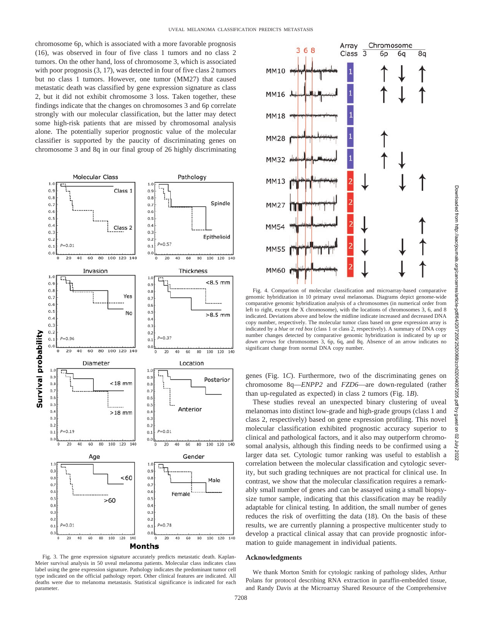chromosome 6p, which is associated with a more favorable prognosis (16), was observed in four of five class 1 tumors and no class 2 tumors. On the other hand, loss of chromosome 3, which is associated with poor prognosis  $(3, 17)$ , was detected in four of five class 2 tumors but no class 1 tumors. However, one tumor (MM27) that caused metastatic death was classified by gene expression signature as class 2, but it did not exhibit chromosome 3 loss. Taken together, these findings indicate that the changes on chromosomes 3 and 6p correlate strongly with our molecular classification, but the latter may detect some high-risk patients that are missed by chromosomal analysis alone. The potentially superior prognostic value of the molecular classifier is supported by the paucity of discriminating genes on chromosome 3 and 8q in our final group of 26 highly discriminating



Fig. 3. The gene expression signature accurately predicts metastatic death. Kaplan-Meier survival analysis in 50 uveal melanoma patients. Molecular class indicates class label using the gene expression signature. Pathology indicates the predominant tumor cell type indicated on the official pathology report. Other clinical features are indicated. All deaths were due to melanoma metastasis. Statistical significance is indicated for each parameter.



Fig. 4. Comparison of molecular classification and microarray-based comparative genomic hybridization in 10 primary uveal melanomas. Diagrams depict genome-wide comparative genomic hybridization analysis of a chromosomes (in numerical order from left to right, except the X chromosome), with the locations of chromosomes 3, 6, and 8 indicated. Deviations above and below the midline indicate increased and decreased DNA copy number, respectively. The molecular tumor class based on gene expression array is indicated by a *blue* or *red box* (class 1 or class 2, respectively). A summary of DNA copy number changes detected by comparative genomic hybridization is indicated by *up* or *down arrows* for chromosomes 3, 6p, 6q, and 8q. Absence of an arrow indicates no significant change from normal DNA copy number.

genes (Fig. 1*C*). Furthermore, two of the discriminating genes on chromosome 8q—*ENPP2* and *FZD6*—are down-regulated (rather than up-regulated as expected) in class 2 tumors (Fig. 1*B*).

These studies reveal an unexpected binary clustering of uveal melanomas into distinct low-grade and high-grade groups (class 1 and class 2, respectively) based on gene expression profiling. This novel molecular classification exhibited prognostic accuracy superior to clinical and pathological factors, and it also may outperform chromosomal analysis, although this finding needs to be confirmed using a larger data set. Cytologic tumor ranking was useful to establish a correlation between the molecular classification and cytologic severity, but such grading techniques are not practical for clinical use. In contrast, we show that the molecular classification requires a remarkably small number of genes and can be assayed using a small biopsysize tumor sample, indicating that this classification may be readily adaptable for clinical testing. In addition, the small number of genes reduces the risk of overfitting the data (18). On the basis of these results, we are currently planning a prospective multicenter study to develop a practical clinical assay that can provide prognostic information to guide management in individual patients.

#### **Acknowledgments**

We thank Morton Smith for cytologic ranking of pathology slides, Arthur Polans for protocol describing RNA extraction in paraffin-embedded tissue, and Randy Davis at the Microarray Shared Resource of the Comprehensive